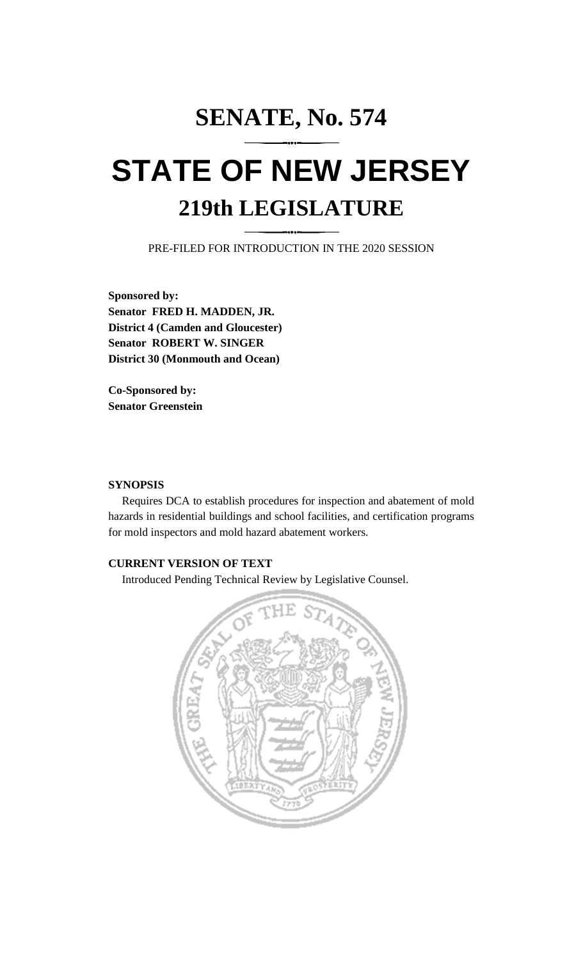# **SENATE, No. 574 STATE OF NEW JERSEY 219th LEGISLATURE**

PRE-FILED FOR INTRODUCTION IN THE 2020 SESSION

**Sponsored by: Senator FRED H. MADDEN, JR. District 4 (Camden and Gloucester) Senator ROBERT W. SINGER District 30 (Monmouth and Ocean)**

**Co-Sponsored by: Senator Greenstein**

## **SYNOPSIS**

Requires DCA to establish procedures for inspection and abatement of mold hazards in residential buildings and school facilities, and certification programs for mold inspectors and mold hazard abatement workers.

# **CURRENT VERSION OF TEXT**

Introduced Pending Technical Review by Legislative Counsel.

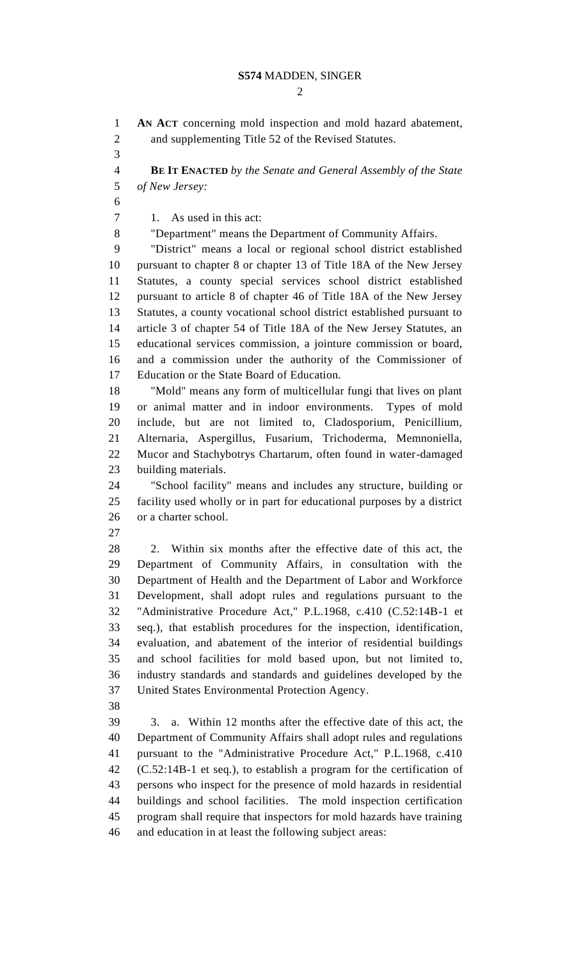$\mathcal{D}_{\mathcal{L}}$ 

 **AN ACT** concerning mold inspection and mold hazard abatement, and supplementing Title 52 of the Revised Statutes. **BE IT ENACTED** *by the Senate and General Assembly of the State of New Jersey:* 1. As used in this act: "Department" means the Department of Community Affairs. "District" means a local or regional school district established pursuant to chapter 8 or chapter 13 of Title 18A of the New Jersey Statutes, a county special services school district established pursuant to article 8 of chapter 46 of Title 18A of the New Jersey Statutes, a county vocational school district established pursuant to article 3 of chapter 54 of Title 18A of the New Jersey Statutes, an educational services commission, a jointure commission or board, and a commission under the authority of the Commissioner of Education or the State Board of Education. "Mold" means any form of multicellular fungi that lives on plant or animal matter and in indoor environments. Types of mold include, but are not limited to, Cladosporium, Penicillium, Alternaria, Aspergillus, Fusarium, Trichoderma, Memnoniella, Mucor and Stachybotrys Chartarum, often found in water-damaged building materials. "School facility" means and includes any structure, building or facility used wholly or in part for educational purposes by a district or a charter school. 2. Within six months after the effective date of this act, the Department of Community Affairs, in consultation with the Department of Health and the Department of Labor and Workforce Development, shall adopt rules and regulations pursuant to the "Administrative Procedure Act," P.L.1968, c.410 (C.52:14B-1 et seq.), that establish procedures for the inspection, identification, evaluation, and abatement of the interior of residential buildings and school facilities for mold based upon, but not limited to, industry standards and standards and guidelines developed by the United States Environmental Protection Agency. 3. a. Within 12 months after the effective date of this act, the Department of Community Affairs shall adopt rules and regulations pursuant to the "Administrative Procedure Act," P.L.1968, c.410 (C.52:14B-1 et seq.), to establish a program for the certification of persons who inspect for the presence of mold hazards in residential buildings and school facilities. The mold inspection certification program shall require that inspectors for mold hazards have training and education in at least the following subject areas: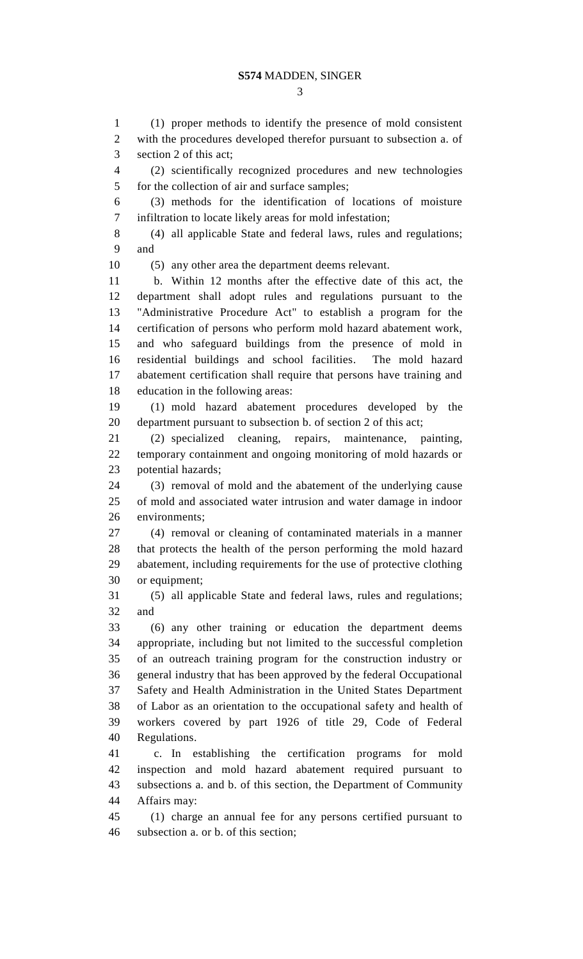(1) proper methods to identify the presence of mold consistent with the procedures developed therefor pursuant to subsection a. of section 2 of this act; (2) scientifically recognized procedures and new technologies for the collection of air and surface samples; (3) methods for the identification of locations of moisture infiltration to locate likely areas for mold infestation; (4) all applicable State and federal laws, rules and regulations; and (5) any other area the department deems relevant. b. Within 12 months after the effective date of this act, the department shall adopt rules and regulations pursuant to the "Administrative Procedure Act" to establish a program for the certification of persons who perform mold hazard abatement work, and who safeguard buildings from the presence of mold in residential buildings and school facilities. The mold hazard abatement certification shall require that persons have training and education in the following areas: (1) mold hazard abatement procedures developed by the department pursuant to subsection b. of section 2 of this act; (2) specialized cleaning, repairs, maintenance, painting, temporary containment and ongoing monitoring of mold hazards or potential hazards; (3) removal of mold and the abatement of the underlying cause of mold and associated water intrusion and water damage in indoor environments; (4) removal or cleaning of contaminated materials in a manner that protects the health of the person performing the mold hazard abatement, including requirements for the use of protective clothing or equipment; (5) all applicable State and federal laws, rules and regulations; and (6) any other training or education the department deems appropriate, including but not limited to the successful completion of an outreach training program for the construction industry or general industry that has been approved by the federal Occupational Safety and Health Administration in the United States Department of Labor as an orientation to the occupational safety and health of workers covered by part 1926 of title 29, Code of Federal Regulations. c. In establishing the certification programs for mold inspection and mold hazard abatement required pursuant to subsections a. and b. of this section, the Department of Community Affairs may: (1) charge an annual fee for any persons certified pursuant to subsection a. or b. of this section;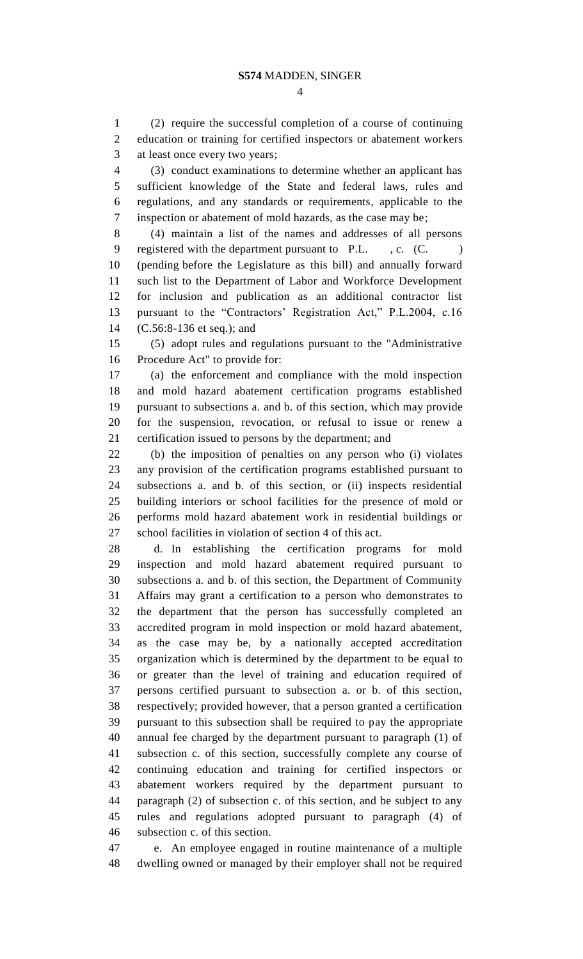(2) require the successful completion of a course of continuing education or training for certified inspectors or abatement workers at least once every two years;

 (3) conduct examinations to determine whether an applicant has sufficient knowledge of the State and federal laws, rules and regulations, and any standards or requirements, applicable to the inspection or abatement of mold hazards, as the case may be;

 (4) maintain a list of the names and addresses of all persons 9 registered with the department pursuant to P.L., c. (C.) (pending before the Legislature as this bill) and annually forward such list to the Department of Labor and Workforce Development for inclusion and publication as an additional contractor list pursuant to the "Contractors' Registration Act," P.L.2004, c.16 (C.56:8-136 et seq.); and

 (5) adopt rules and regulations pursuant to the "Administrative Procedure Act" to provide for:

 (a) the enforcement and compliance with the mold inspection and mold hazard abatement certification programs established pursuant to subsections a. and b. of this section, which may provide for the suspension, revocation, or refusal to issue or renew a certification issued to persons by the department; and

 (b) the imposition of penalties on any person who (i) violates any provision of the certification programs established pursuant to subsections a. and b. of this section, or (ii) inspects residential building interiors or school facilities for the presence of mold or performs mold hazard abatement work in residential buildings or school facilities in violation of section 4 of this act.

 d. In establishing the certification programs for mold inspection and mold hazard abatement required pursuant to subsections a. and b. of this section, the Department of Community Affairs may grant a certification to a person who demonstrates to the department that the person has successfully completed an accredited program in mold inspection or mold hazard abatement, as the case may be, by a nationally accepted accreditation organization which is determined by the department to be equal to or greater than the level of training and education required of persons certified pursuant to subsection a. or b. of this section, respectively; provided however, that a person granted a certification pursuant to this subsection shall be required to pay the appropriate annual fee charged by the department pursuant to paragraph (1) of subsection c. of this section, successfully complete any course of continuing education and training for certified inspectors or abatement workers required by the department pursuant to paragraph (2) of subsection c. of this section, and be subject to any rules and regulations adopted pursuant to paragraph (4) of subsection c. of this section.

 e. An employee engaged in routine maintenance of a multiple dwelling owned or managed by their employer shall not be required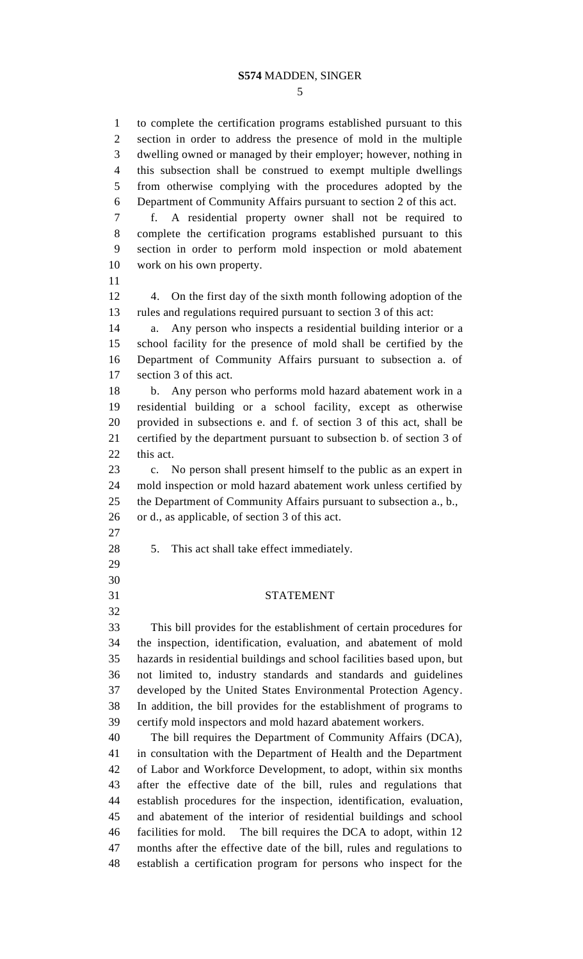to complete the certification programs established pursuant to this section in order to address the presence of mold in the multiple dwelling owned or managed by their employer; however, nothing in this subsection shall be construed to exempt multiple dwellings from otherwise complying with the procedures adopted by the Department of Community Affairs pursuant to section 2 of this act. f. A residential property owner shall not be required to complete the certification programs established pursuant to this section in order to perform mold inspection or mold abatement work on his own property. 4. On the first day of the sixth month following adoption of the rules and regulations required pursuant to section 3 of this act: a. Any person who inspects a residential building interior or a school facility for the presence of mold shall be certified by the Department of Community Affairs pursuant to subsection a. of section 3 of this act. b. Any person who performs mold hazard abatement work in a residential building or a school facility, except as otherwise provided in subsections e. and f. of section 3 of this act, shall be certified by the department pursuant to subsection b. of section 3 of this act. c. No person shall present himself to the public as an expert in mold inspection or mold hazard abatement work unless certified by the Department of Community Affairs pursuant to subsection a., b., or d., as applicable, of section 3 of this act. 5. This act shall take effect immediately. STATEMENT This bill provides for the establishment of certain procedures for the inspection, identification, evaluation, and abatement of mold hazards in residential buildings and school facilities based upon, but not limited to, industry standards and standards and guidelines developed by the United States Environmental Protection Agency. In addition, the bill provides for the establishment of programs to certify mold inspectors and mold hazard abatement workers. The bill requires the Department of Community Affairs (DCA), in consultation with the Department of Health and the Department of Labor and Workforce Development, to adopt, within six months after the effective date of the bill, rules and regulations that establish procedures for the inspection, identification, evaluation, and abatement of the interior of residential buildings and school facilities for mold. The bill requires the DCA to adopt, within 12 months after the effective date of the bill, rules and regulations to establish a certification program for persons who inspect for the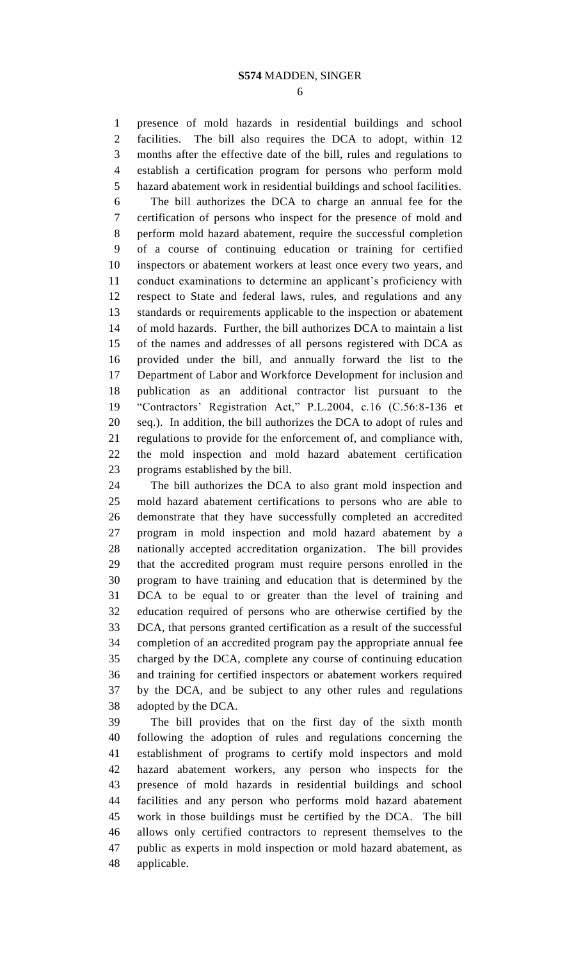presence of mold hazards in residential buildings and school facilities. The bill also requires the DCA to adopt, within 12 months after the effective date of the bill, rules and regulations to establish a certification program for persons who perform mold hazard abatement work in residential buildings and school facilities. The bill authorizes the DCA to charge an annual fee for the certification of persons who inspect for the presence of mold and perform mold hazard abatement, require the successful completion of a course of continuing education or training for certified inspectors or abatement workers at least once every two years, and conduct examinations to determine an applicant's proficiency with respect to State and federal laws, rules, and regulations and any standards or requirements applicable to the inspection or abatement of mold hazards. Further, the bill authorizes DCA to maintain a list of the names and addresses of all persons registered with DCA as provided under the bill, and annually forward the list to the Department of Labor and Workforce Development for inclusion and publication as an additional contractor list pursuant to the "Contractors' Registration Act," P.L.2004, c.16 (C.56:8-136 et seq.). In addition, the bill authorizes the DCA to adopt of rules and regulations to provide for the enforcement of, and compliance with, the mold inspection and mold hazard abatement certification programs established by the bill.

 The bill authorizes the DCA to also grant mold inspection and mold hazard abatement certifications to persons who are able to demonstrate that they have successfully completed an accredited program in mold inspection and mold hazard abatement by a nationally accepted accreditation organization. The bill provides that the accredited program must require persons enrolled in the program to have training and education that is determined by the DCA to be equal to or greater than the level of training and education required of persons who are otherwise certified by the DCA, that persons granted certification as a result of the successful completion of an accredited program pay the appropriate annual fee charged by the DCA, complete any course of continuing education and training for certified inspectors or abatement workers required by the DCA, and be subject to any other rules and regulations adopted by the DCA.

 The bill provides that on the first day of the sixth month following the adoption of rules and regulations concerning the establishment of programs to certify mold inspectors and mold hazard abatement workers, any person who inspects for the presence of mold hazards in residential buildings and school facilities and any person who performs mold hazard abatement work in those buildings must be certified by the DCA. The bill allows only certified contractors to represent themselves to the public as experts in mold inspection or mold hazard abatement, as applicable.